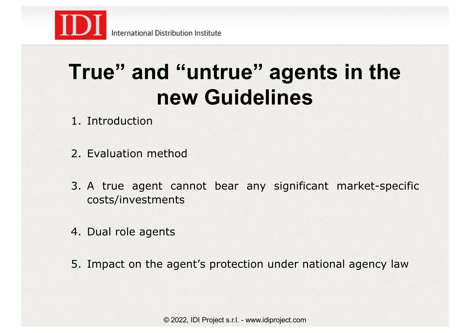

## **True" and "untrue" agents in the new Guidelines**

- 1. Introduction
- 2. Evaluation method
- 3. A true agent cannot bear any significant market-specific costs/investments
- 4. Dual role agents
- 5. Impact on the agent's protection under national agency law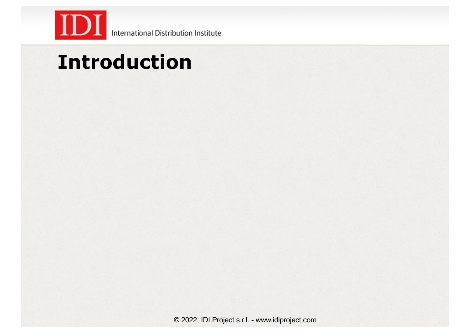

## **Introduction**

© 2022, IDI Project s.r.l. - www.idiproject.com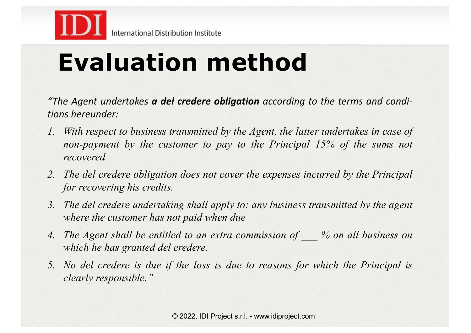

# **Evaluation method**

*"The Agent undertakes a del credere obligation according to the terms and conditions hereunder:*

- *1. With respect to business transmitted by the Agent, the latter undertakes in case of non-payment by the customer to pay to the Principal 15% of the sums not recovered*
- *2. The del credere obligation does not cover the expenses incurred by the Principal for recovering his credits.*
- *3. The del credere undertaking shall apply to: any business transmitted by the agent where the customer has not paid when due*
- *4. The Agent shall be entitled to an extra commission of \_\_\_ % on all business on which he has granted del credere.*
- *5. No del credere is due if the loss is due to reasons for which the Principal is clearly responsible."*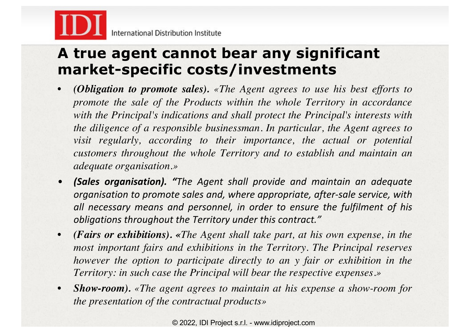

#### **A true agent cannot bear any significant market-specific costs/investments**

- *(Obligation to promote sales). «The Agent agrees to use his best efforts to promote the sale of the Products within the whole Territory in accordance with the Principal's indications and shall protect the Principal's interests with the diligence of a responsible businessman. In particular, the Agent agrees to visit regularly, according to their importance, the actual or potential customers throughout the whole Territory and to establish and maintain an adequate organisation.»*
- *(Sales organisation). "The Agent shall provide and maintain an adequate organisation to promote sales and, where appropriate, after-sale service, with all necessary means and personnel, in order to ensure the fulfilment of his obligations throughout the Territory under this contract."*
- *(Fairs or exhibitions). «The Agent shall take part, at his own expense, in the most important fairs and exhibitions in the Territory. The Principal reserves however the option to participate directly to an y fair or exhibition in the Territory: in such case the Principal will bear the respective expenses.»*
- *Show-room). «The agent agrees to maintain at his expense a show-room for the presentation of the contractual products»*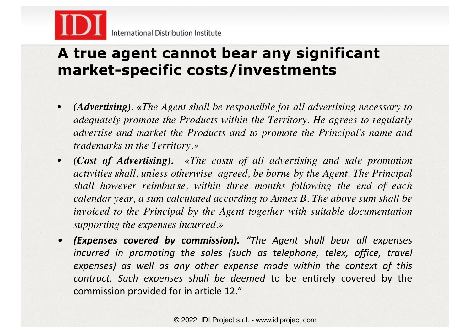

#### **A true agent cannot bear any significant market-specific costs/investments**

- *(Advertising). «The Agent shall be responsible for all advertising necessary to adequately promote the Products within the Territory. He agrees to regularly advertise and market the Products and to promote the Principal's name and trademarks in the Territory.»*
- *(Cost of Advertising). «The costs of all advertising and sale promotion activities shall, unless otherwise agreed, be borne by the Agent. The Principal shall however reimburse, within three months following the end of each calendar year, a sum calculated according to Annex B. The above sum shall be invoiced to the Principal by the Agent together with suitable documentation supporting the expenses incurred.»*
- *(Expenses covered by commission). "The Agent shall bear all expenses incurred in promoting the sales (such as telephone, telex, office, travel expenses) as well as any other expense made within the context of this contract. Such expenses shall be deemed* to be entirely covered by the commission provided for in article 12."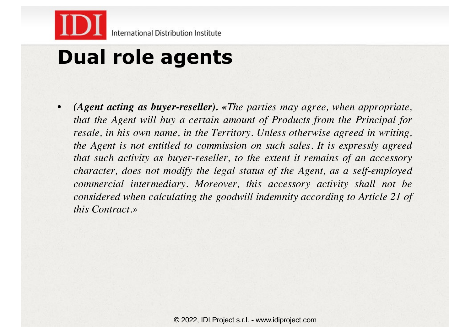

### **Dual role agents**

• *(Agent acting as buyer-reseller). «The parties may agree, when appropriate, that the Agent will buy a certain amount of Products from the Principal for resale, in his own name, in the Territory. Unless otherwise agreed in writing, the Agent is not entitled to commission on such sales. It is expressly agreed that such activity as buyer-reseller, to the extent it remains of an accessory character, does not modify the legal status of the Agent, as a self-employed commercial intermediary. Moreover, this accessory activity shall not be considered when calculating the goodwill indemnity according to Article 21 of this Contract.»*